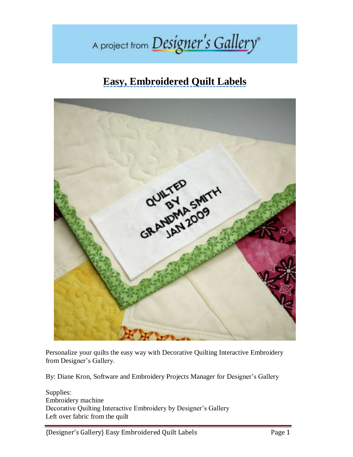## A project from Designer's Gallery®

## **Easy, Embroidered Quilt Labels**



Personalize your quilts the easy way with Decorative Quilting Interactive Embroidery from Designer's Gallery.

By: Diane Kron, Software and Embroidery Projects Manager for Designer's Gallery

Supplies: Embroidery machine Decorative Quilting Interactive Embroidery by Designer's Gallery Left over fabric from the quilt

{Designer's Gallery} Easy Embroidered Quilt Labels Page 1